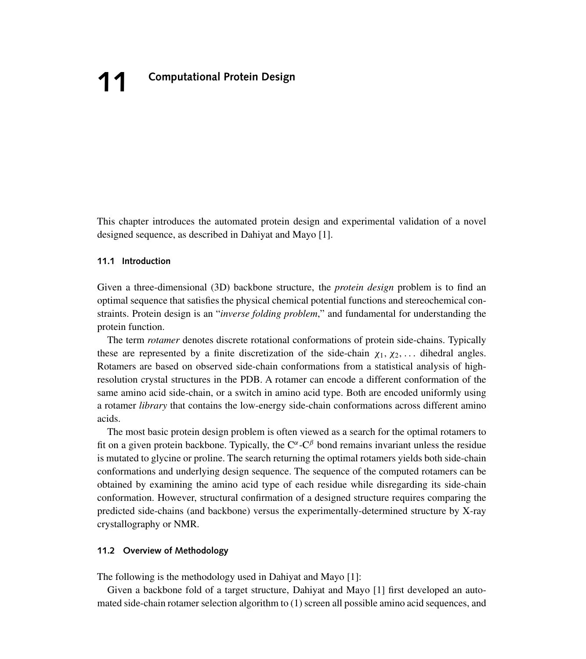This chapter introduces the automated protein design and experimental validation of a novel designed sequence, as described in Dahiyat and Mayo [1].

# **11.1 Introduction**

Given a three-dimensional (3D) backbone structure, the *protein design* problem is to find an optimal sequence that satisfies the physical chemical potential functions and stereochemical constraints. Protein design is an "*inverse folding problem*," and fundamental for understanding the protein function.

The term *rotamer* denotes discrete rotational conformations of protein side-chains. Typically these are represented by a finite discretization of the side-chain  $\chi_1, \chi_2, \ldots$  dihedral angles. Rotamers are based on observed side-chain conformations from a statistical analysis of highresolution crystal structures in the PDB. A rotamer can encode a different conformation of the same amino acid side-chain, or a switch in amino acid type. Both are encoded uniformly using a rotamer *library* that contains the low-energy side-chain conformations across different amino acids.

The most basic protein design problem is often viewed as a search for the optimal rotamers to fit on a given protein backbone. Typically, the  $C^{\alpha} - C^{\beta}$  bond remains invariant unless the residue is mutated to glycine or proline. The search returning the optimal rotamers yields both side-chain conformations and underlying design sequence. The sequence of the computed rotamers can be obtained by examining the amino acid type of each residue while disregarding its side-chain conformation. However, structural confirmation of a designed structure requires comparing the predicted side-chains (and backbone) versus the experimentally-determined structure by X-ray crystallography or NMR.

# **11.2 Overview of Methodology**

The following is the methodology used in Dahiyat and Mayo [1]:

Given a backbone fold of a target structure, Dahiyat and Mayo [1] first developed an automated side-chain rotamer selection algorithm to (1) screen all possible amino acid sequences, and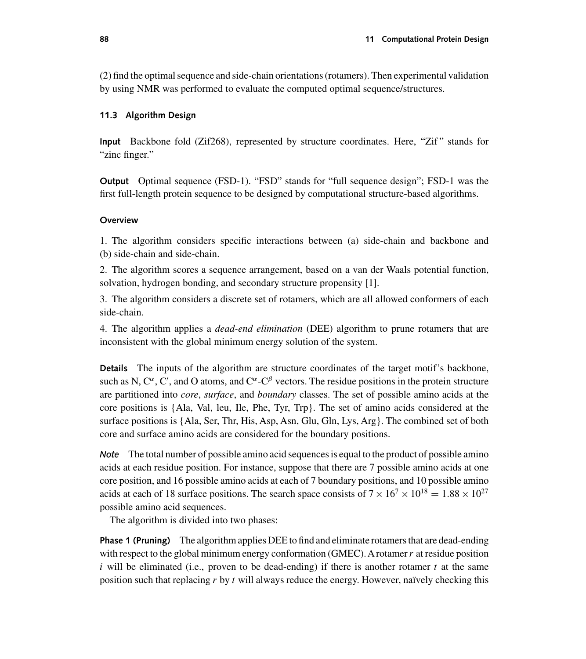(2) find the optimal sequence and side-chain orientations (rotamers). Then experimental validation by using NMR was performed to evaluate the computed optimal sequence/structures.

# **11.3 Algorithm Design**

**Input** Backbone fold (Zif268), represented by structure coordinates. Here, "Zif " stands for "zinc finger."

**Output** Optimal sequence (FSD-1). "FSD" stands for "full sequence design"; FSD-1 was the first full-length protein sequence to be designed by computational structure-based algorithms.

## **Overview**

1. The algorithm considers specific interactions between (a) side-chain and backbone and (b) side-chain and side-chain.

2. The algorithm scores a sequence arrangement, based on a van der Waals potential function, solvation, hydrogen bonding, and secondary structure propensity [1].

3. The algorithm considers a discrete set of rotamers, which are all allowed conformers of each side-chain.

4. The algorithm applies a *dead-end elimination* (DEE) algorithm to prune rotamers that are inconsistent with the global minimum energy solution of the system.

**Details** The inputs of the algorithm are structure coordinates of the target motif's backbone, such as N,  $C^{\alpha}$ , C', and O atoms, and  $C^{\alpha}$ -C<sup> $\beta$ </sup> vectors. The residue positions in the protein structure are partitioned into *core*, *surface*, and *boundary* classes. The set of possible amino acids at the core positions is {Ala, Val, leu, Ile, Phe, Tyr, Trp}. The set of amino acids considered at the surface positions is {Ala, Ser, Thr, His, Asp, Asn, Glu, Gln, Lys, Arg}. The combined set of both core and surface amino acids are considered for the boundary positions.

*Note* The total number of possible amino acid sequences is equal to the product of possible amino acids at each residue position. For instance, suppose that there are 7 possible amino acids at one core position, and 16 possible amino acids at each of 7 boundary positions, and 10 possible amino acids at each of 18 surface positions. The search space consists of  $7 \times 16^7 \times 10^{18} = 1.88 \times 10^{27}$ possible amino acid sequences.

The algorithm is divided into two phases:

**Phase 1 (Pruning)** The algorithm applies DEE to find and eliminate rotamers that are dead-ending with respect to the global minimum energy conformation (GMEC). A rotamer r at residue position i will be eliminated (i.e., proven to be dead-ending) if there is another rotamer t at the same position such that replacing r by t will always reduce the energy. However, naïvely checking this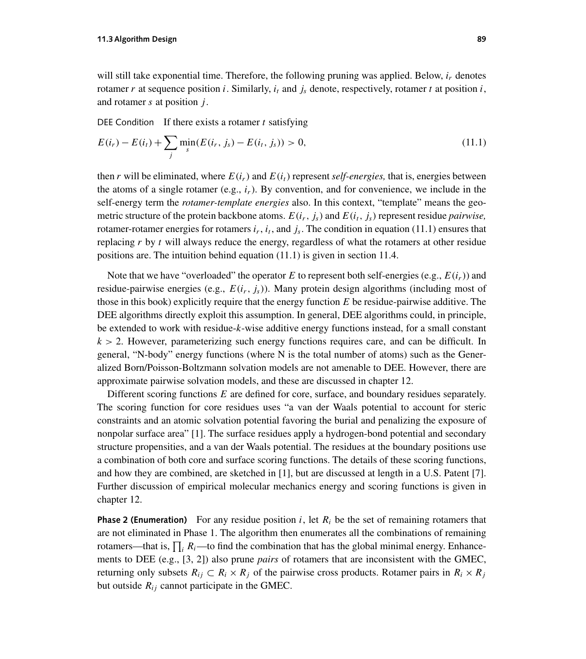will still take exponential time. Therefore, the following pruning was applied. Below,  $i_r$  denotes rotamer r at sequence position i. Similarly,  $i_t$  and  $j_s$  denote, respectively, rotamer t at position i, and rotamer  $s$  at position  $j$ .

DEE Condition If there exists a rotamer  $t$  satisfying

$$
E(i_r) - E(i_t) + \sum_{j} \min_{s} (E(i_r, j_s) - E(i_t, j_s)) > 0,
$$
\n(11.1)

then r will be eliminated, where  $E(i_r)$  and  $E(i_t)$  represent *self-energies*, that is, energies between the atoms of a single rotamer (e.g.,  $i_r$ ). By convention, and for convenience, we include in the self-energy term the *rotamer-template energies* also. In this context, "template" means the geometric structure of the protein backbone atoms.  $E(i_r, j_s)$  and  $E(i_t, j_s)$  represent residue *pairwise*, rotamer-rotamer energies for rotamers  $i_r$ ,  $i_t$ , and  $j_s$ . The condition in equation (11.1) ensures that replacing  $r$  by  $t$  will always reduce the energy, regardless of what the rotamers at other residue positions are. The intuition behind equation (11.1) is given in section 11.4.

Note that we have "overloaded" the operator E to represent both self-energies (e.g.,  $E(i_r)$ ) and residue-pairwise energies (e.g.,  $E(i_r, j_s)$ ). Many protein design algorithms (including most of those in this book) explicitly require that the energy function  $E$  be residue-pairwise additive. The DEE algorithms directly exploit this assumption. In general, DEE algorithms could, in principle, be extended to work with residue-k-wise additive energy functions instead, for a small constant  $k > 2$ . However, parameterizing such energy functions requires care, and can be difficult. In general, "N-body" energy functions (where N is the total number of atoms) such as the Generalized Born/Poisson-Boltzmann solvation models are not amenable to DEE. However, there are approximate pairwise solvation models, and these are discussed in chapter 12.

Different scoring functions  $E$  are defined for core, surface, and boundary residues separately. The scoring function for core residues uses "a van der Waals potential to account for steric constraints and an atomic solvation potential favoring the burial and penalizing the exposure of nonpolar surface area" [1]. The surface residues apply a hydrogen-bond potential and secondary structure propensities, and a van der Waals potential. The residues at the boundary positions use a combination of both core and surface scoring functions. The details of these scoring functions, and how they are combined, are sketched in [1], but are discussed at length in a U.S. Patent [7]. Further discussion of empirical molecular mechanics energy and scoring functions is given in chapter 12.

**Phase 2 (Enumeration)** For any residue position i, let  $R_i$  be the set of remaining rotamers that are not eliminated in Phase 1. The algorithm then enumerates all the combinations of remaining rotamers—that is,  $\prod_i R_i$ —to find the combination that has the global minimal energy. Enhancements to DEE (e.g., [3, 2]) also prune *pairs* of rotamers that are inconsistent with the GMEC, returning only subsets  $R_{ij} \subset R_i \times R_j$  of the pairwise cross products. Rotamer pairs in  $R_i \times R_j$ but outside  $R_{ij}$  cannot participate in the GMEC.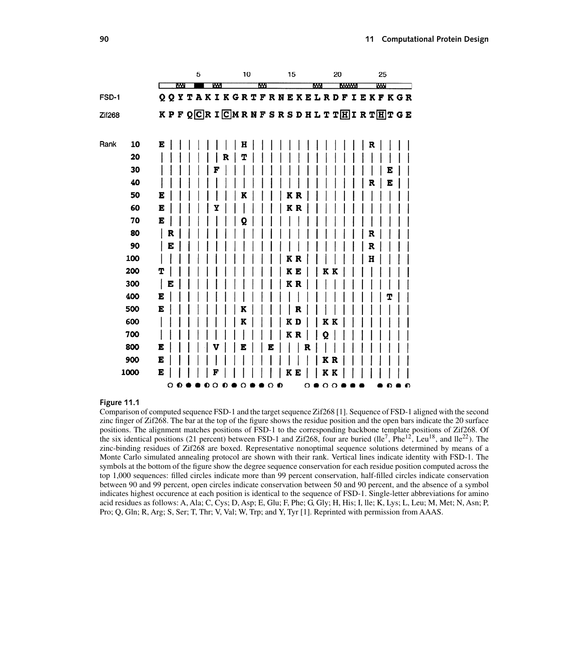|            |        | 5           | 10                                                      | 15     | 20                 | 25        |
|------------|--------|-------------|---------------------------------------------------------|--------|--------------------|-----------|
|            | EМ     | w           | kМ                                                      |        | <b>MAYYY</b><br>MМ | <b>WW</b> |
| FSD-1      |        |             | Q Q Y T A K I K G R T F R N E K E L R D F I E K F K G R |        |                    |           |
| Zif268     |        |             | KPFQCRICMRNFSRSDHLTTHIRTHTGE                            |        |                    |           |
| Rank<br>10 | E      |             | н                                                       |        |                    | R         |
| 20         |        |             | т                                                       |        |                    |           |
| 30         |        |             |                                                         |        |                    | E         |
| 40         |        |             |                                                         |        |                    | E<br>R    |
| 50         | E      |             |                                                         | K<br>R |                    |           |
| 60         | E      |             |                                                         | КR     |                    |           |
| 70         | E      |             | ο                                                       |        |                    |           |
| 80         | R      |             |                                                         |        |                    | R         |
| 90         | E      |             |                                                         |        |                    | R         |
| 100        |        |             |                                                         | K<br>R |                    | н         |
| 200        | т      |             |                                                         | ΚE     | K<br>K             |           |
| 300        | I<br>E |             |                                                         | K R    |                    |           |
| 400        | E      |             |                                                         |        |                    | т         |
| 500        | E      |             |                                                         |        |                    |           |
| 600        |        |             | K                                                       | K<br>D | K                  |           |
| 700        |        |             |                                                         | ΚR     | Q                  |           |
| 800        | E      |             | E<br>ю                                                  |        |                    |           |
| 900        | E      |             |                                                         |        | K<br>R             |           |
| 1000       | E<br>∩ | F<br>∩<br>Û |                                                         | ĸ<br>E | K K<br>$\cap$      |           |

### **Figure 11.1**

Comparison of computed sequence FSD-1 and the target sequence Zif268 [1]. Sequence of FSD-1 aligned with the second zinc finger of Zif268. The bar at the top of the figure shows the residue position and the open bars indicate the 20 surface positions. The alignment matches positions of FSD-1 to the corresponding backbone template positions of Zif268. Of the six identical positions (21 percent) between FSD-1 and Zif268, four are buried  $(lle^7, Phe^{12}, Leu^{18}, and lle^{22})$ . The zinc-binding residues of Zif268 are boxed. Representative nonoptimal sequence solutions determined by means of a Monte Carlo simulated annealing protocol are shown with their rank. Vertical lines indicate identity with FSD-1. The symbols at the bottom of the figure show the degree sequence conservation for each residue position computed across the top 1,000 sequences: filled circles indicate more than 99 percent conservation, half-filled circles indicate conservation between 90 and 99 percent, open circles indicate conservation between 50 and 90 percent, and the absence of a symbol indicates highest occurence at each position is identical to the sequence of FSD-1. Single-letter abbreviations for amino acid residues as follows: A, Ala; C, Cys; D, Asp; E, Glu; F, Phe; G, Gly; H, His; I, lle; K, Lys; L, Leu; M, Met; N, Asn; P, Pro; Q, Gln; R, Arg; S, Ser; T, Thr; V, Val; W, Trp; and Y, Tyr [1]. Reprinted with permission from AAAS.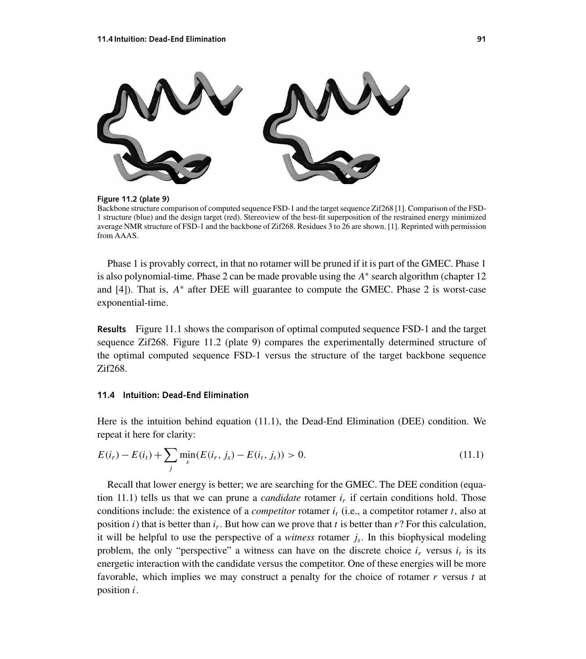

**Figure 11.2 (plate 9)**

Backbone structure comparison of computed sequence FSD-1 and the target sequence Zif268 [1]. Comparison of the FSD-1 structure (blue) and the design target (red). Stereoview of the best-fit superposition of the restrained energy minimized average NMR structure of FSD-1 and the backbone of Zif268. Residues 3 to 26 are shown. [1]. Reprinted with permission from AAAS.

Phase 1 is provably correct, in that no rotamer will be pruned if it is part of the GMEC. Phase 1 is also polynomial-time. Phase 2 can be made provable using the  $A^*$  search algorithm (chapter 12 and [4]). That is,  $A^*$  after DEE will guarantee to compute the GMEC. Phase 2 is worst-case exponential-time.

**Results** Figure 11.1 shows the comparison of optimal computed sequence FSD-1 and the target sequence Zif268. Figure 11.2 (plate 9) compares the experimentally determined structure of the optimal computed sequence FSD-1 versus the structure of the target backbone sequence Zif268.

## **11.4 Intuition: Dead-End Elimination**

Here is the intuition behind equation (11.1), the Dead-End Elimination (DEE) condition. We repeat it here for clarity:

$$
E(i_r) - E(i_t) + \sum_{j} \min_{s} (E(i_r, j_s) - E(i_t, j_s)) > 0.
$$
\n(11.1)

Recall that lower energy is better; we are searching for the GMEC. The DEE condition (equation 11.1) tells us that we can prune a *candidate* rotamer  $i<sub>r</sub>$  if certain conditions hold. Those conditions include: the existence of a *competitor* rotamer  $i_t$  (i.e., a competitor rotamer t, also at position i) that is better than  $i_r$ . But how can we prove that t is better than r? For this calculation, it will be helpful to use the perspective of a *witness* rotamer  $j_s$ . In this biophysical modeling problem, the only "perspective" a witness can have on the discrete choice  $i_r$  versus  $i_t$  is its energetic interaction with the candidate versus the competitor. One of these energies will be more favorable, which implies we may construct a penalty for the choice of rotamer r versus t at position i.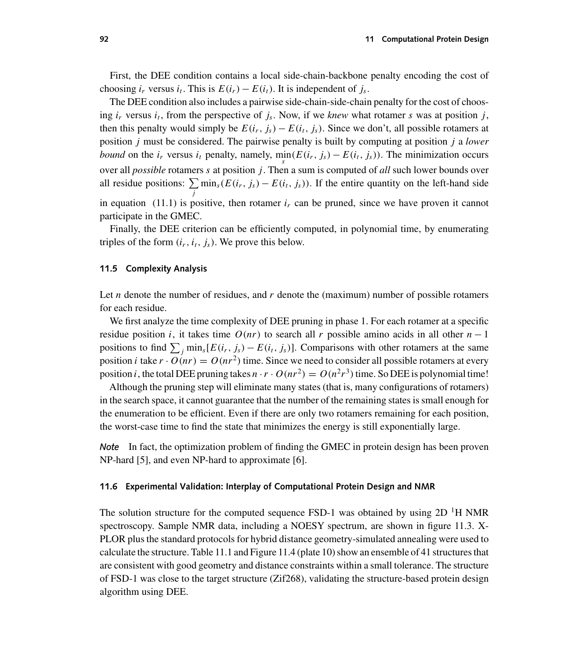First, the DEE condition contains a local side-chain-backbone penalty encoding the cost of choosing  $i_r$  versus  $i_t$ . This is  $E(i_r) - E(i_t)$ . It is independent of  $j_s$ .

The DEE condition also includes a pairwise side-chain-side-chain penalty for the cost of choosing  $i_r$  versus  $i_t$ , from the perspective of  $j_s$ . Now, if we *knew* what rotamer s was at position j, then this penalty would simply be  $E(i_r, j_s) - E(i_t, j_s)$ . Since we don't, all possible rotamers at position j must be considered. The pairwise penalty is built by computing at position j a *lower bound* on the  $i_r$  versus  $i_t$  penalty, namely, min $(E(i_r, j_s) - E(i_t, j_s))$ . The minimization occurs over all *possible* rotamers s at position *j*. Then a sum is computed of *all* such lower bounds over all residue positions:  $\sum \min_s(E(i_r, j_s) - E(i_t, j_s))$ . If the entire quantity on the left-hand side j in equation (11.1) is positive, then rotamer  $i<sub>r</sub>$  can be pruned, since we have proven it cannot participate in the GMEC.

Finally, the DEE criterion can be efficiently computed, in polynomial time, by enumerating triples of the form  $(i_r, i_t, j_s)$ . We prove this below.

## **11.5 Complexity Analysis**

Let *n* denote the number of residues, and *r* denote the (maximum) number of possible rotamers for each residue.

We first analyze the time complexity of DEE pruning in phase 1. For each rotamer at a specific residue position i, it takes time  $O(nr)$  to search all r possible amino acids in all other  $n-1$ positions to find  $\sum_j \min_s [E(i_r, j_s) - E(i_t, j_s)]$ . Comparisons with other rotamers at the same position *i* take  $r \cdot O(nr) = O(nr^2$  time. Since we need to consider all possible rotamers at every position i, the total DEE pruning takes  $n \cdot r \cdot O(nr^2) = O(n^2r^3)$  time. So DEE is polynomial time!

Although the pruning step will eliminate many states (that is, many configurations of rotamers) in the search space, it cannot guarantee that the number of the remaining states is small enough for the enumeration to be efficient. Even if there are only two rotamers remaining for each position, the worst-case time to find the state that minimizes the energy is still exponentially large.

*Note* In fact, the optimization problem of finding the GMEC in protein design has been proven NP-hard [5], and even NP-hard to approximate [6].

## **11.6 Experimental Validation: Interplay of Computational Protein Design and NMR**

The solution structure for the computed sequence FSD-1 was obtained by using  $2D<sup>T</sup>H NMR$ spectroscopy. Sample NMR data, including a NOESY spectrum, are shown in figure 11.3. X-PLOR plus the standard protocols for hybrid distance geometry-simulated annealing were used to calculate the structure. Table 11.1 and Figure 11.4 (plate 10) show an ensemble of 41 structures that are consistent with good geometry and distance constraints within a small tolerance. The structure of FSD-1 was close to the target structure (Zif268), validating the structure-based protein design algorithm using DEE.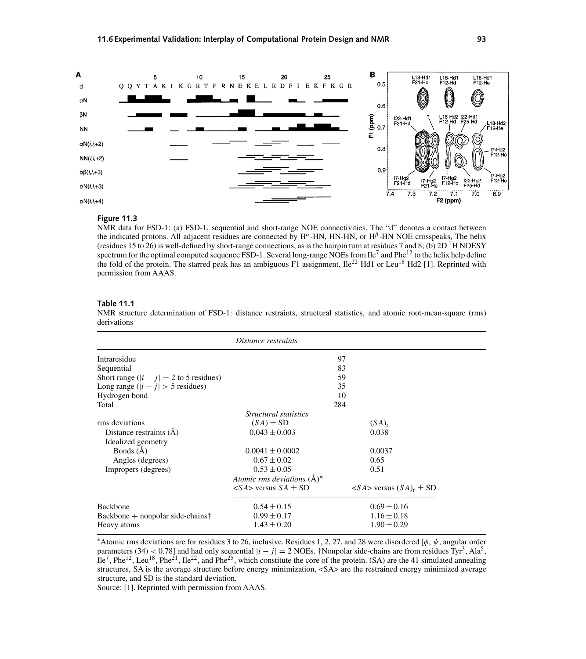

### **Figure 11.3**

NMR data for FSD-1: (a) FSD-1, sequential and short-range NOE connectivities. The "d" denotes a contact between the indicated protons. All adjacent residues are connected by H<sup>α</sup>-HN, HN-HN, or H<sup>β</sup>-HN NOE crosspeaks, The helix (residues 15 to 26) is well-defined by short-range connections, as is the hairpin turn at residues 7 and 8; (b)  $2D<sup>1</sup>H NOESY$ spectrum for the optimal computed sequence FSD-1. Several long-range NOEs from  $Ile^7$  and  $Phe^{12}$  to the helix help define the fold of the protein. The starred peak has an ambiguous F1 assignment,  $\text{Ile}^{22}$  Hd1 or Leu<sup>18</sup> Hd2 [1]. Reprinted with permission from AAAS.

## **Table 11.1**

NMR structure determination of FSD-1: distance restraints, structural statistics, and atomic root-mean-square (rms) derivations

|                                           | Distance restraints                      |                                                 |
|-------------------------------------------|------------------------------------------|-------------------------------------------------|
| Intraresidue                              |                                          | 97                                              |
| Sequential                                | 83                                       |                                                 |
| Short range $( i - j  = 2$ to 5 residues) |                                          | 59                                              |
| Long range $( i - j  > 5$ residues)       |                                          | 35                                              |
| Hydrogen bond                             |                                          | 10                                              |
| Total                                     |                                          | 284                                             |
|                                           | Structural statistics                    |                                                 |
| rms deviations                            | $(SA) \pm SD$                            | $(SA)_{r}$                                      |
| Distance restraints $(\dot{A})$           | $0.043 \pm 0.003$                        | 0.038                                           |
| Idealized geometry                        |                                          |                                                 |
| Bonds $(A)$                               | $0.0041 \pm 0.0002$                      | 0.0037                                          |
| Angles (degrees)                          | $0.67 \pm 0.02$                          | 0.65                                            |
| Impropers (degrees)                       | $0.53 \pm 0.05$                          | 0.51                                            |
|                                           | Atomic rms deviations $(A)^*$            |                                                 |
|                                           | $\langle S A \rangle$ versus $SA \pm SD$ | $\langle S A \rangle$ versus $(S A)_{r} \pm SD$ |
| <b>Backbone</b>                           | $0.54 \pm 0.15$                          | $0.69 \pm 0.16$                                 |
| $Backbone + nonpolar side-chains†$        | $0.99 \pm 0.17$                          | $1.16 \pm 0.18$                                 |
| Heavy atoms                               | $1.43 \pm 0.20$                          | $1.90 \pm 0.29$                                 |

\*Atomic rms deviations are for residues 3 to 26, inclusive. Residues 1, 2, 27, and 28 were disordered [ $\phi$ ,  $\psi$ , angular order parameters (34) < 0.78] and had only sequential  $|i - j| = 2$  NOEs. †Nonpolar side-chains are from residues Tyr<sup>3</sup>, Ala<sup>5</sup>,  $\text{I}$ le<sup>7</sup>, Phe<sup>12</sup>, Leu<sup>18</sup>, Phe<sup>21</sup>, Ile<sup>22</sup>, and Phe<sup>25</sup>, which constitute the core of the protein. (SA) are the 41 simulated annealing structures, SA is the average structure before energy minimization,  $\langle SAS \rangle$  are the restrained energy minimized average structure, and SD is the standard deviation.

Source: [1]. Reprinted with permission from AAAS.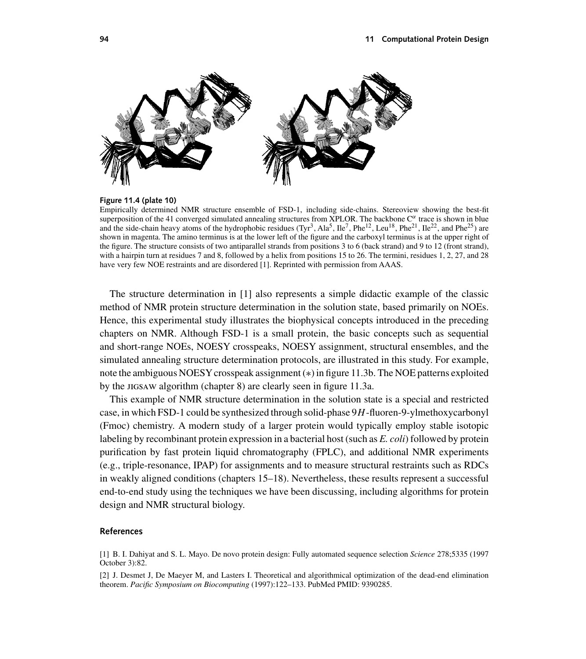

## **Figure 11.4 (plate 10)**

Empirically determined NMR structure ensemble of FSD-1, including side-chains. Stereoview showing the best-fit superposition of the 41 converged simulated annealing structures from XPLOR. The backbone  $C^{\alpha}$  trace is shown in blue and the side-chain heavy atoms of the hydrophobic residues (Tyr<sup>3</sup>, Ala<sup>5</sup>, Ile<sup>7</sup>, Phe<sup>12</sup>, Leu<sup>18</sup>, Phe<sup>21</sup>, Ile<sup>22</sup>, and Phe<sup>25</sup>) are shown in magenta. The amino terminus is at the lower left of the figure and the carboxyl terminus is at the upper right of the figure. The structure consists of two antiparallel strands from positions 3 to 6 (back strand) and 9 to 12 (front strand), with a hairpin turn at residues 7 and 8, followed by a helix from positions 15 to 26. The termini, residues 1, 2, 27, and 28 have very few NOE restraints and are disordered [1]. Reprinted with permission from AAAS.

The structure determination in [1] also represents a simple didactic example of the classic method of NMR protein structure determination in the solution state, based primarily on NOEs. Hence, this experimental study illustrates the biophysical concepts introduced in the preceding chapters on NMR. Although FSD-1 is a small protein, the basic concepts such as sequential and short-range NOEs, NOESY crosspeaks, NOESY assignment, structural ensembles, and the simulated annealing structure determination protocols, are illustrated in this study. For example, note the ambiguous NOESY crosspeak assignment (\*) in figure 11.3b. The NOE patterns exploited by the JIGSAW algorithm (chapter 8) are clearly seen in figure 11.3a.

This example of NMR structure determination in the solution state is a special and restricted case, in which FSD-1 could be synthesized through solid-phase 9H-fluoren-9-ylmethoxycarbonyl (Fmoc) chemistry. A modern study of a larger protein would typically employ stable isotopic labeling by recombinant protein expression in a bacterial host (such as *E. coli*) followed by protein purification by fast protein liquid chromatography (FPLC), and additional NMR experiments (e.g., triple-resonance, IPAP) for assignments and to measure structural restraints such as RDCs in weakly aligned conditions (chapters 15–18). Nevertheless, these results represent a successful end-to-end study using the techniques we have been discussing, including algorithms for protein design and NMR structural biology.

### **References**

<sup>[1]</sup> B. I. Dahiyat and S. L. Mayo. De novo protein design: Fully automated sequence selection *Science* 278;5335 (1997 October 3):82.

<sup>[2]</sup> J. Desmet J, De Maeyer M, and Lasters I. Theoretical and algorithmical optimization of the dead-end elimination theorem. *Pacific Symposium on Biocomputing* (1997):122–133. PubMed PMID: 9390285.